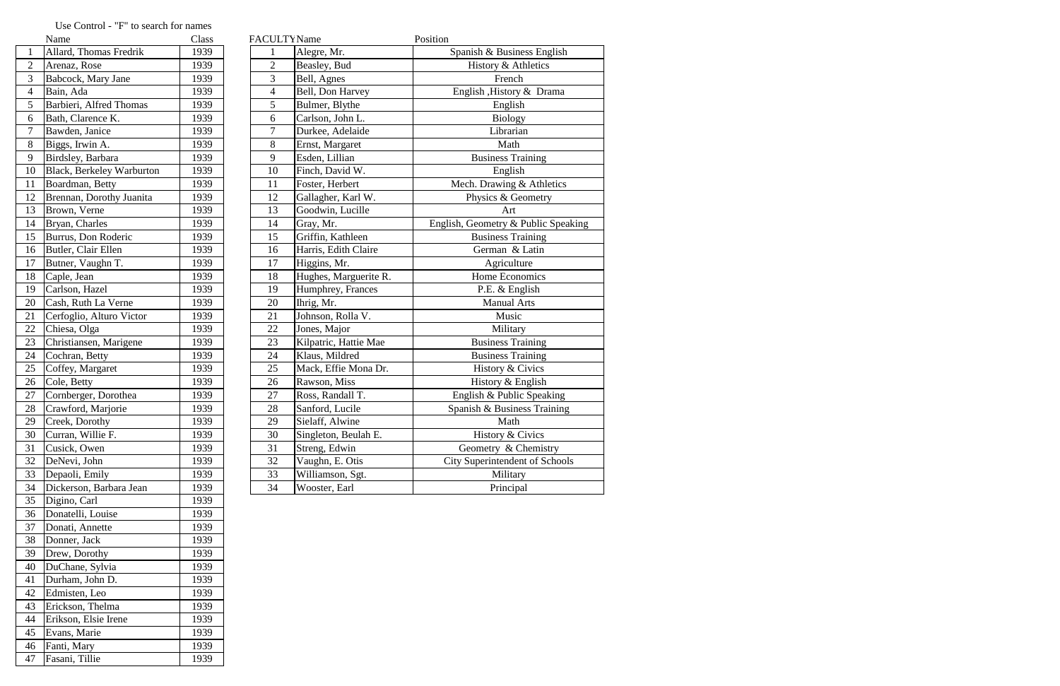|                 | Name                             | Class |                | FACULTY Name       |                       | Position                            |
|-----------------|----------------------------------|-------|----------------|--------------------|-----------------------|-------------------------------------|
|                 | Allard, Thomas Fredrik           | 1939  |                | Alegre, Mr.        |                       | Spanish & Business English          |
| $\overline{2}$  | Arenaz, Rose                     | 1939  | 2              | Beasley, Bud       |                       | History & Athletics                 |
| 3               | Babcock, Mary Jane               | 1939  | 3              | Bell, Agnes        |                       | French                              |
| $\overline{4}$  | Bain, Ada                        | 1939  | $\overline{4}$ | Bell, Don Harvey   |                       | English , History & Drama           |
| 5               | Barbieri, Alfred Thomas          | 1939  | 5              | Bulmer, Blythe     |                       | English                             |
| 6               | Bath, Clarence K.                | 1939  | 6              | Carlson, John L.   |                       | <b>Biology</b>                      |
| $\overline{7}$  | Bawden, Janice                   | 1939  | 7              | Durkee, Adelaide   |                       | Librarian                           |
| 8               | Biggs, Irwin A.                  | 1939  | 8              | Ernst, Margaret    |                       | Math                                |
| 9               | Birdsley, Barbara                | 1939  | 9              | Esden, Lillian     |                       | <b>Business Training</b>            |
| 10              | <b>Black, Berkeley Warburton</b> | 1939  | 10             | Finch, David W.    |                       | English                             |
| 11              | Boardman, Betty                  | 1939  | 11             | Foster, Herbert    |                       | Mech. Drawing & Athletics           |
| 12              | Brennan, Dorothy Juanita         | 1939  | 12             | Gallagher, Karl W. |                       | Physics & Geometry                  |
| 13              | Brown, Verne                     | 1939  | 13             | Goodwin, Lucille   |                       | Art                                 |
| 14              | Bryan, Charles                   | 1939  | 14             | Gray, Mr.          |                       | English, Geometry & Public Speaking |
| 15              | Burrus, Don Roderic              | 1939  | 15             | Griffin, Kathleen  |                       | <b>Business Training</b>            |
| 16              | Butler, Clair Ellen              | 1939  | 16             |                    | Harris, Edith Claire  | German & Latin                      |
| 17              | Butner, Vaughn T.                | 1939  | 17             | Higgins, Mr.       |                       | Agriculture                         |
| 18              | Caple, Jean                      | 1939  | 18             |                    | Hughes, Marguerite R. | Home Economics                      |
| 19              | Carlson, Hazel                   | 1939  | 19             |                    | Humphrey, Frances     | P.E. & English                      |
| 20              | Cash, Ruth La Verne              | 1939  | 20             | Ihrig, Mr.         |                       | <b>Manual Arts</b>                  |
| 21              | Cerfoglio, Alturo Victor         | 1939  | 21             | Johnson, Rolla V.  |                       | Music                               |
| $\overline{22}$ | Chiesa, Olga                     | 1939  | 22             | Jones, Major       |                       | Military                            |
| $\overline{23}$ | Christiansen, Marigene           | 1939  | 23             |                    | Kilpatric, Hattie Mae | <b>Business Training</b>            |
| 24              | Cochran, Betty                   | 1939  | 24             | Klaus, Mildred     |                       | <b>Business Training</b>            |
| 25              | Coffey, Margaret                 | 1939  | 25             |                    | Mack, Effie Mona Dr.  | History & Civics                    |
| 26              | Cole, Betty                      | 1939  | 26             | Rawson, Miss       |                       | History & English                   |
| 27              | Cornberger, Dorothea             | 1939  | 27             | Ross, Randall T.   |                       | English & Public Speaking           |
| $\overline{28}$ | Crawford, Marjorie               | 1939  | 28             | Sanford, Lucile    |                       | Spanish & Business Training         |
| 29              | Creek, Dorothy                   | 1939  | 29             | Sielaff, Alwine    |                       | Math                                |
| 30              | Curran, Willie F.                | 1939  | 30             |                    | Singleton, Beulah E.  | History & Civics                    |
| 31              | Cusick, Owen                     | 1939  | 31             | Streng, Edwin      |                       | Geometry & Chemistry                |
| 32              | DeNevi, John                     | 1939  | 32             | Vaughn, E. Otis    |                       | City Superintendent of Schools      |
| 33              | Depaoli, Emily                   | 1939  | 33             | Williamson, Sgt.   |                       | Military                            |
| 34              | Dickerson, Barbara Jean          | 1939  | 34             | Wooster, Earl      |                       | Principal                           |

## Use Control - "F" to search for names<br>
Name

|                | inaliit                          | Ciass | <b>FACULI INAME</b>      |                       | <b>FOSHIOH</b>             |
|----------------|----------------------------------|-------|--------------------------|-----------------------|----------------------------|
| 1              | Allard, Thomas Fredrik           | 1939  | 1                        | Alegre, Mr.           | Spanish & Busines          |
| $\overline{2}$ | Arenaz, Rose                     | 1939  | $\overline{2}$           | Beasley, Bud          | History & Ath              |
| 3              | Babcock, Mary Jane               | 1939  | 3                        | Bell, Agnes           | French                     |
| $\overline{4}$ | Bain, Ada                        | 1939  | $\overline{\mathcal{A}}$ | Bell, Don Harvey      | English , History &        |
| 5              | Barbieri, Alfred Thomas          | 1939  | 5                        | Bulmer, Blythe        | English                    |
| 6              | Bath, Clarence K.                | 1939  | 6                        | Carlson, John L.      | Biology                    |
| $\overline{7}$ | Bawden, Janice                   | 1939  | 7                        | Durkee, Adelaide      | Librarian                  |
| 8              | Biggs, Irwin A.                  | 1939  | 8                        | Ernst, Margaret       | Math                       |
| 9              | Birdsley, Barbara                | 1939  | 9                        | Esden, Lillian        | <b>Business Trai</b>       |
| 10             | <b>Black, Berkeley Warburton</b> | 1939  | 10                       | Finch, David W.       | English                    |
| 11             | Boardman, Betty                  | 1939  | 11                       | Foster, Herbert       | Mech. Drawing &            |
| 12             | Brennan, Dorothy Juanita         | 1939  | 12                       | Gallagher, Karl W.    | Physics & Geo              |
| 13             | Brown, Verne                     | 1939  | 13                       | Goodwin, Lucille      | Art                        |
| 14             | Bryan, Charles                   | 1939  | 14                       | Gray, Mr.             | English, Geometry & P      |
| 15             | Burrus, Don Roderic              | 1939  | 15                       | Griffin, Kathleen     | <b>Business Trai</b>       |
| 16             | Butler, Clair Ellen              | 1939  | 16                       | Harris, Edith Claire  | German & L                 |
| 17             | Butner, Vaughn T.                | 1939  | 17                       | Higgins, Mr.          | Agricultur                 |
| 18             | Caple, Jean                      | 1939  | 18                       | Hughes, Marguerite R. | Home Econo:                |
| 19             | Carlson, Hazel                   | 1939  | 19                       | Humphrey, Frances     | P.E. & Engl                |
| 20             | Cash, Ruth La Verne              | 1939  | 20                       | Ihrig, Mr.            | Manual Ar                  |
| 21             | Cerfoglio, Alturo Victor         | 1939  | 21                       | Johnson, Rolla V.     | Music                      |
| 22             | Chiesa, Olga                     | 1939  | 22                       | Jones, Major          | Military                   |
| 23             | Christiansen, Marigene           | 1939  | 23                       | Kilpatric, Hattie Mae | <b>Business Trai</b>       |
| 24             | Cochran, Betty                   | 1939  | 24                       | Klaus, Mildred        | <b>Business Trai</b>       |
| 25             | Coffey, Margaret                 | 1939  | 25                       | Mack, Effie Mona Dr.  | History & Ci               |
| 26             | Cole, Betty                      | 1939  | 26                       | Rawson, Miss          | History & En               |
| 27             | Cornberger, Dorothea             | 1939  | 27                       | Ross, Randall T.      | English & Public           |
| 28             | Crawford, Marjorie               | 1939  | 28                       | Sanford, Lucile       | Spanish & Busines          |
| 29             | Creek, Dorothy                   | 1939  | 29                       | Sielaff, Alwine       | Math                       |
| 30             | Curran, Willie F.                | 1939  | 30                       | Singleton, Beulah E.  | History & Ci               |
| 31             | Cusick, Owen                     | 1939  | 31                       | Streng, Edwin         | Geometry & Ch              |
| 32             | DeNevi, John                     | 1939  | 32                       | Vaughn, E. Otis       | <b>City Superintendent</b> |
| 33             | Depaoli, Emily                   | 1939  | 33                       | Williamson, Sgt.      | Military                   |
| 34             | Dickerson, Barbara Jean          | 1939  | 34                       | Wooster, Earl         | Principal                  |
| 35             | Digino, Carl                     | 1939  |                          |                       |                            |
| 36             | Donatelli, Louise                | 1939  |                          |                       |                            |
| 37             | Donati, Annette                  | 1939  |                          |                       |                            |
| 38             | Donner, Jack                     | 1939  |                          |                       |                            |
| 39             | Drew, Dorothy                    | 1939  |                          |                       |                            |
| 40             | DuChane, Sylvia                  | 1939  |                          |                       |                            |
| 41             | Durham, John D.                  | 1939  |                          |                       |                            |
| 42             | Edmisten, Leo                    | 1939  |                          |                       |                            |
| 43             | Erickson, Thelma                 | 1939  |                          |                       |                            |
| 44             | Erikson, Elsie Irene             | 1939  |                          |                       |                            |
| 45             | Evans, Marie                     | 1939  |                          |                       |                            |
| 46             | Fanti, Mary                      | 1939  |                          |                       |                            |
| 47             | Fasani, Tillie                   | 1939  |                          |                       |                            |
|                |                                  |       |                          |                       |                            |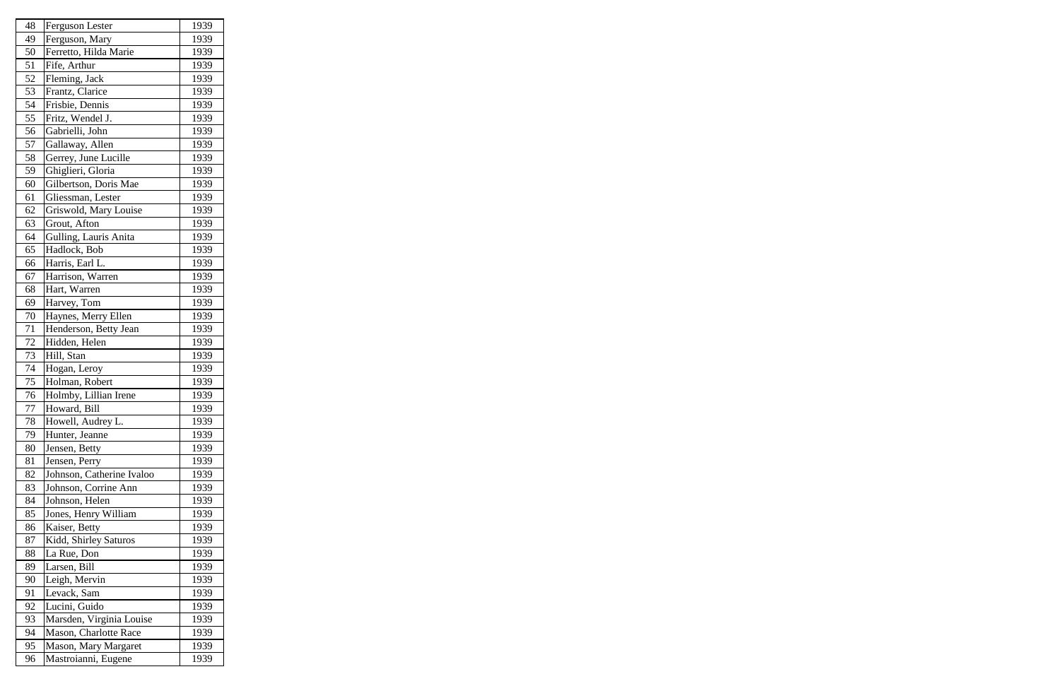| 48 | Ferguson Lester              | 1939 |
|----|------------------------------|------|
| 49 | Ferguson, Mary               | 1939 |
| 50 | Ferretto, Hilda Marie        | 1939 |
| 51 | Fife, Arthur                 | 1939 |
| 52 | Fleming, Jack                | 1939 |
| 53 | Frantz, Clarice              | 1939 |
| 54 | Frisbie, Dennis              | 1939 |
| 55 | Fritz, Wendel J.             | 1939 |
| 56 | Gabrielli, John              | 1939 |
| 57 | Gallaway, Allen              | 1939 |
| 58 | Gerrey, June Lucille         | 1939 |
| 59 | Ghiglieri, Gloria            | 1939 |
| 60 | Gilbertson, Doris Mae        | 1939 |
| 61 | Gliessman, Lester            | 1939 |
| 62 | Griswold, Mary Louise        | 1939 |
| 63 | Grout, Afton                 | 1939 |
| 64 | Gulling, Lauris Anita        | 1939 |
| 65 | Hadlock, Bob                 | 1939 |
| 66 | Harris, Earl L.              | 1939 |
| 67 | Harrison, Warren             | 1939 |
| 68 | Hart, Warren                 | 1939 |
| 69 | Harvey, Tom                  | 1939 |
| 70 | Haynes, Merry Ellen          | 1939 |
| 71 | Henderson, Betty Jean        | 1939 |
| 72 | Hidden, Helen                | 1939 |
| 73 | Hill, Stan                   | 1939 |
| 74 | Hogan, Leroy                 | 1939 |
| 75 | Holman, Robert               | 1939 |
| 76 | Holmby, Lillian Irene        | 1939 |
| 77 | Howard, Bill                 | 1939 |
| 78 | Howell, Audrey L.            | 1939 |
| 79 | Hunter, Jeanne               | 1939 |
| 80 | Jensen, Betty                | 1939 |
| 81 | Jensen, Perry                | 1939 |
| 82 | Johnson, Catherine Ivaloo    | 1939 |
| 83 | Johnson, Corrine Ann         | 1939 |
| 84 | Johnson, Helen               | 1939 |
| 85 | Jones, Henry William         | 1939 |
| 86 | Kaiser, Betty                | 1939 |
| 87 | Kidd, Shirley Saturos        | 1939 |
| 88 | La Rue, Don                  | 1939 |
| 89 | Larsen, Bill                 | 1939 |
| 90 |                              |      |
|    | Leigh, Mervin<br>Levack, Sam | 1939 |
| 91 |                              | 1939 |
| 92 | Lucini, Guido                | 1939 |
| 93 | Marsden, Virginia Louise     | 1939 |
| 94 | Mason, Charlotte Race        | 1939 |
| 95 | Mason, Mary Margaret         | 1939 |
| 96 | Mastroianni, Eugene          | 1939 |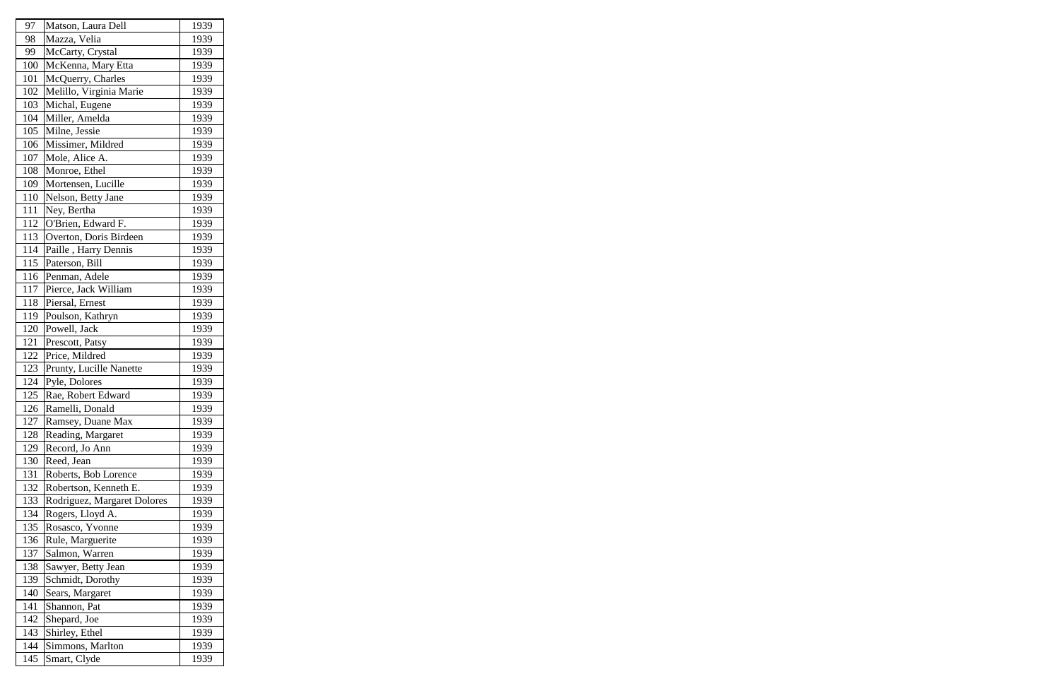| 97  | Matson, Laura Dell          | 1939 |
|-----|-----------------------------|------|
| 98  | Mazza, Velia                | 1939 |
| 99  | McCarty, Crystal            | 1939 |
| 100 | McKenna, Mary Etta          | 1939 |
| 101 | McQuerry, Charles           | 1939 |
| 102 | Melillo, Virginia Marie     | 1939 |
| 103 | Michal, Eugene              | 1939 |
| 104 | Miller, Amelda              | 1939 |
| 105 | Milne, Jessie               | 1939 |
| 106 | Missimer, Mildred           | 1939 |
| 107 | Mole, Alice A.              | 1939 |
| 108 | Monroe, Ethel               | 1939 |
| 109 | Mortensen, Lucille          | 1939 |
| 110 | Nelson, Betty Jane          | 1939 |
| 111 | Ney, Bertha                 | 1939 |
| 112 | O'Brien, Edward F.          | 1939 |
| 113 | Overton, Doris Birdeen      | 1939 |
| 114 | Paille, Harry Dennis        | 1939 |
| 115 | Paterson, Bill              | 1939 |
| 116 | Penman, Adele               | 1939 |
| 117 | Pierce, Jack William        | 1939 |
| 118 | Piersal, Ernest             | 1939 |
| 119 | Poulson, Kathryn            | 1939 |
| 120 | Powell, Jack                | 1939 |
| 121 | Prescott, Patsy             | 1939 |
| 122 | Price, Mildred              | 1939 |
| 123 | Prunty, Lucille Nanette     | 1939 |
| 124 | Pyle, Dolores               | 1939 |
| 125 | Rae, Robert Edward          | 1939 |
| 126 | Ramelli, Donald             | 1939 |
| 127 | Ramsey, Duane Max           | 1939 |
| 128 | Reading, Margaret           | 1939 |
| 129 | Record, Jo Ann              | 1939 |
| 130 | Reed, Jean                  | 1939 |
| 131 | Roberts, Bob Lorence        | 1939 |
| 132 | Robertson, Kenneth E.       | 1939 |
| 133 | Rodriguez, Margaret Dolores | 1939 |
| 134 | Rogers, Lloyd A.            | 1939 |
| 135 | Rosasco, Yvonne             | 1939 |
| 136 | Rule, Marguerite            | 1939 |
| 137 | Salmon, Warren              | 1939 |
| 138 | Sawyer, Betty Jean          | 1939 |
| 139 | Schmidt, Dorothy            | 1939 |
| 140 | Sears, Margaret             | 1939 |
| 141 | Shannon, Pat                | 1939 |
| 142 | Shepard, Joe                | 1939 |
| 143 | Shirley, Ethel              | 1939 |
| 144 | Simmons, Marlton            | 1939 |
| 145 | Smart, Clyde                | 1939 |